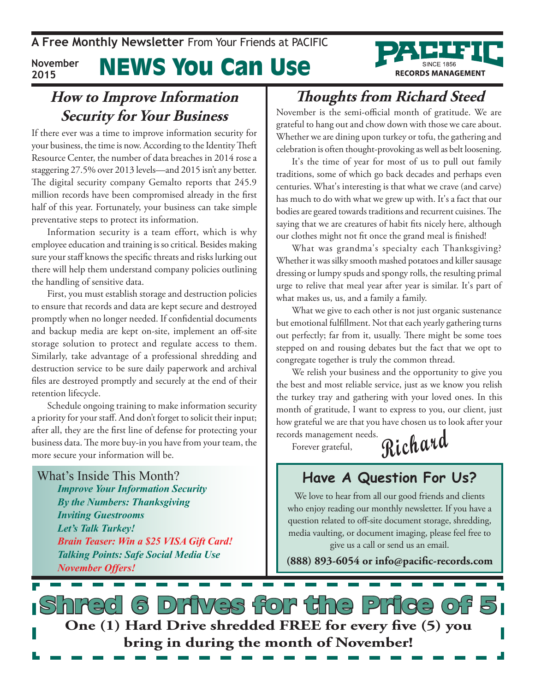**RECORDS MANAGEMENT** 

#### News You Can Use **November 2015**

### **How to Improve Information Security for Your Business**

If there ever was a time to improve information security for your business, the time is now. According to the Identity Theft Resource Center, the number of data breaches in 2014 rose a staggering 27.5% over 2013 levels—and 2015 isn't any better. The digital security company Gemalto reports that 245.9 million records have been compromised already in the first half of this year. Fortunately, your business can take simple preventative steps to protect its information.

Information security is a team effort, which is why employee education and training is so critical. Besides making sure your staff knows the specific threats and risks lurking out there will help them understand company policies outlining the handling of sensitive data.

First, you must establish storage and destruction policies to ensure that records and data are kept secure and destroyed promptly when no longer needed. If confidential documents and backup media are kept on-site, implement an off-site storage solution to protect and regulate access to them. Similarly, take advantage of a professional shredding and destruction service to be sure daily paperwork and archival files are destroyed promptly and securely at the end of their retention lifecycle.

Schedule ongoing training to make information security a priority for your staff. And don't forget to solicit their input; after all, they are the first line of defense for protecting your business data. The more buy-in you have from your team, the more secure your information will be.

What's Inside This Month? *Improve Your Information Security By the Numbers: Thanksgiving Inviting Guestrooms Let's Talk Turkey! Brain Teaser: Win a \$25 VISA Gift Card! Talking Points: Safe Social Media Use November Offers!*

# **Thoughts from Richard Steed**

November is the semi-official month of gratitude. We are grateful to hang out and chow down with those we care about. Whether we are dining upon turkey or tofu, the gathering and celebration is often thought-provoking as well as belt loosening.

It's the time of year for most of us to pull out family traditions, some of which go back decades and perhaps even centuries. What's interesting is that what we crave (and carve) has much to do with what we grew up with. It's a fact that our bodies are geared towards traditions and recurrent cuisines. The saying that we are creatures of habit fits nicely here, although our clothes might not fit once the grand meal is finished!

What was grandma's specialty each Thanksgiving? Whether it was silky smooth mashed potatoes and killer sausage dressing or lumpy spuds and spongy rolls, the resulting primal urge to relive that meal year after year is similar. It's part of what makes us, us, and a family a family.

What we give to each other is not just organic sustenance but emotional fulfillment. Not that each yearly gathering turns out perfectly; far from it, usually. There might be some toes stepped on and rousing debates but the fact that we opt to congregate together is truly the common thread.

We relish your business and the opportunity to give you the best and most reliable service, just as we know you relish the turkey tray and gathering with your loved ones. In this month of gratitude, I want to express to you, our client, just how grateful we are that you have chosen us to look after your records management needs.

Forever grateful,

**Richard**

## **Have A Question For Us?**

We love to hear from all our good friends and clients who enjoy reading our monthly newsletter. If you have a question related to off-site document storage, shredding, media vaulting, or document imaging, please feel free to give us a call or send us an email.

**(888) 893-6054 or info@pacific-records.com**

d 6 Drives for the Price o **One (1) Hard Drive shredded FREE for every five (5) you bring in during the month of November!**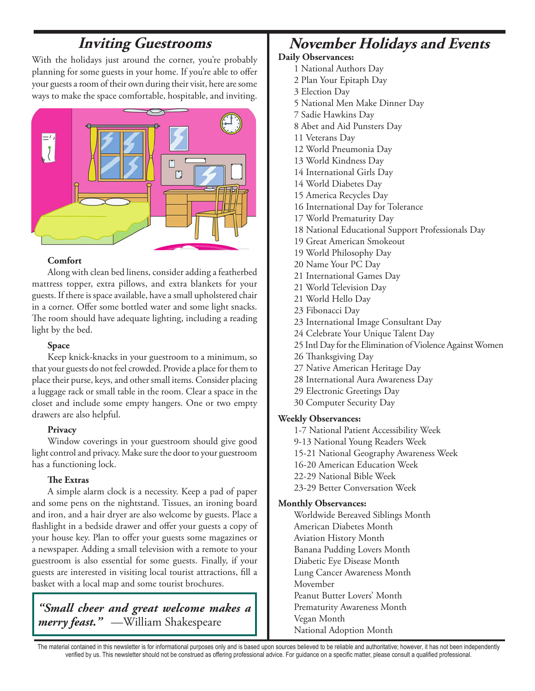## **Inviting Guestrooms**

With the holidays just around the corner, you're probably planning for some guests in your home. If you're able to offer your guests a room of their own during their visit, here are some ways to make the space comfortable, hospitable, and inviting.



### **Comfort**

Along with clean bed linens, consider adding a featherbed mattress topper, extra pillows, and extra blankets for your guests. If there is space available, have a small upholstered chair in a corner. Offer some bottled water and some light snacks. The room should have adequate lighting, including a reading light by the bed.

### **Space**

Keep knick-knacks in your guestroom to a minimum, so that your guests do not feel crowded. Provide a place for them to place their purse, keys, and other small items. Consider placing a luggage rack or small table in the room. Clear a space in the closet and include some empty hangers. One or two empty drawers are also helpful.

### **Privacy**

Window coverings in your guestroom should give good light control and privacy. Make sure the door to your guestroom has a functioning lock.

### **The Extras**

A simple alarm clock is a necessity. Keep a pad of paper and some pens on the nightstand. Tissues, an ironing board and iron, and a hair dryer are also welcome by guests. Place a flashlight in a bedside drawer and offer your guests a copy of your house key. Plan to offer your guests some magazines or a newspaper. Adding a small television with a remote to your guestroom is also essential for some guests. Finally, if your guests are interested in visiting local tourist attractions, fill a basket with a local map and some tourist brochures.

*"Small cheer and great welcome makes a merry feast."* —William Shakespeare

## **November Holidays and Events**

### **Daily Observances:**

- 1 National Authors Day
- 2 Plan Your Epitaph Day
- 3 Election Day
- 5 National Men Make Dinner Day
- 7 Sadie Hawkins Day
- 8 Abet and Aid Punsters Day
- 11 Veterans Day
- 12 World Pneumonia Day
- 13 World Kindness Day
- 14 International Girls Day
- 14 World Diabetes Day
- 15 America Recycles Day
- 16 International Day for Tolerance
- 17 World Prematurity Day
- 18 National Educational Support Professionals Day
- 19 Great American Smokeout
- 19 World Philosophy Day
- 20 Name Your PC Day
- 21 International Games Day
- 21 World Television Day
- 21 World Hello Day
- 23 Fibonacci Day
- 23 International Image Consultant Day
- 24 Celebrate Your Unique Talent Day
- 25 Intl Day for the Elimination of Violence Against Women
- 26 Thanksgiving Day
- 27 Native American Heritage Day
- 28 International Aura Awareness Day
- 29 Electronic Greetings Day
- 30 Computer Security Day

### **Weekly Observances:**

- 1-7 National Patient Accessibility Week
- 9-13 National Young Readers Week
- 15-21 National Geography Awareness Week
- 16-20 American Education Week
- 22-29 National Bible Week
- 23-29 Better Conversation Week

### **Monthly Observances:**

Worldwide Bereaved Siblings Month American Diabetes Month Aviation History Month Banana Pudding Lovers Month Diabetic Eye Disease Month Lung Cancer Awareness Month Movember Peanut Butter Lovers' Month Prematurity Awareness Month Vegan Month National Adoption Month

The material contained in this newsletter is for informational purposes only and is based upon sources believed to be reliable and authoritative; however, it has not been independently verified by us. This newsletter should not be construed as offering professional advice. For guidance on a specific matter, please consult a qualified professional.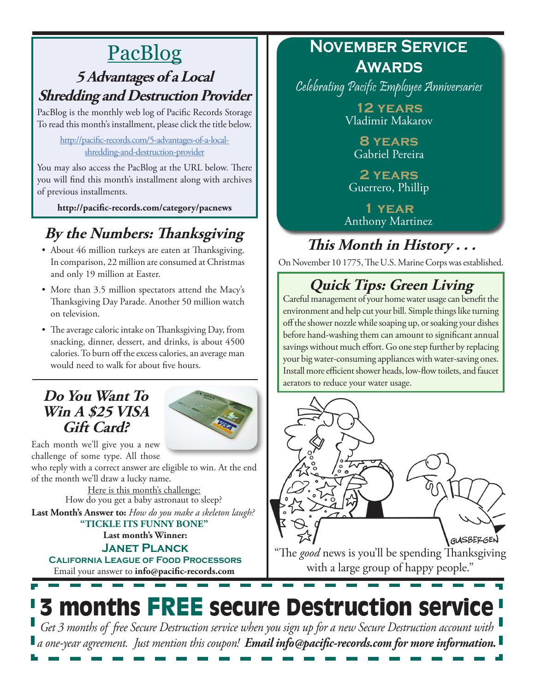# PacBlog

## **5 Advantages of a Local Shredding and Destruction Provider**

PacBlog is the monthly web log of Pacific Records Storage To read this month's installment, please click the title below.

[http://pacific-records.com/5-advantages-of-a-local](http://pacific-records.com/5-advantages-of-a-local-shredding-and-destruction-provider)[shredding-and-destruction-provider](http://pacific-records.com/5-advantages-of-a-local-shredding-and-destruction-provider)

You may also access the PacBlog at the URL below. There you will find this month's installment along with archives of previous installments.

**http://pacific-records.com/category/pacnews**

# **By the Numbers: Thanksgiving**

- About 46 million turkeys are eaten at Thanksgiving. In comparison, 22 million are consumed at Christmas and only 19 million at Easter.
- More than 3.5 million spectators attend the Macy's Thanksgiving Day Parade. Another 50 million watch on television.
- The average caloric intake on Thanksgiving Day, from snacking, dinner, dessert, and drinks, is about 4500 calories. To burn off the excess calories, an average man would need to walk for about five hours.

### **Do You Want To Win A \$25 VISA Gift Card?**



Each month we'll give you a new challenge of some type. All those

who reply with a correct answer are eligible to win. At the end of the month we'll draw a lucky name.

Here is this month's challenge: **Last Month's Answer to:** *How do you make a skeleton laugh?* How do you get a baby astronaut to sleep?

**Last month's Winner: "TICKLE ITS FUNNY BONE"**

Email your answer to **info@pacific-records.com Janet Planck California League of Food Processors**

## **November Service Awards**

Celebrating Pacific Employee Anniversaries

**12 years** Vladimir Makarov

**8 years** Gabriel Pereira

**2 years** Guerrero, Phillip

**1 year** Anthony Martinez

# **This Month in History . . .**

On November 10 1775, The U.S. Marine Corps was established.

# **Quick Tips: Green Living**

Careful management of your home water usage can benefit the environment and help cut your bill. Simple things like turning off the shower nozzle while soaping up, or soaking your dishes before hand-washing them can amount to significant annual savings without much effort. Go one step further by replacing your big water-consuming appliances with water-saving ones. Install more efficient shower heads, low-flow toilets, and faucet aerators to reduce your water usage.



with a large group of happy people."

# 3 months FREE secure Destruction service *Get 3 months of free Secure Destruction service when you sign up for a new Secure Destruction account with*

*a one-year agreement. Just mention this coupon! Email info@pacific-records.com for more information.*